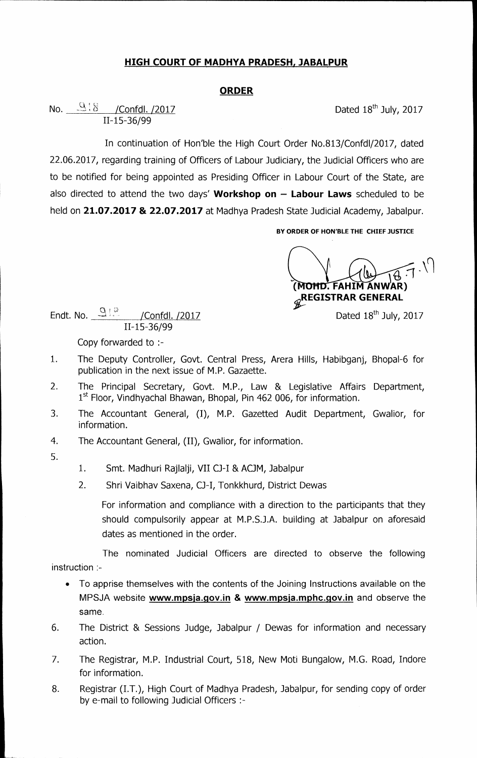## **HIGH COURT OF MADHYA PRADESH, JABALPUR**

## **ORDER**

**No.**  $\frac{9}{8}$  /Confdl. /2017 **Dated 18<sup>th</sup> July, 2017 11-15-36/99** 

**In continuation of Hon'ble the High Court Order No.813/Confd1/2017, dated 22.06.2017, regarding training of Officers of Labour Judiciary, the Judicial Officers who are to be notified for being appointed as Presiding Officer in Labour Court of the State, are also directed to attend the two days' Workshop on — Labour Laws scheduled to be held on 21.07.2017 & 22.07.2017 at Madhya Pradesh State Judicial Academy, Jabalpur.** 

**BY ORDER OF HON'BLE THE CHIEF JUSTICE** 

**0HD.** FAHIM ANWAR) **EGISTRAR GENERAL** 

**Dated 18th July, 2017** 

**Endt. No.** 2018 / Confdl. /2017 **11-15-36/99** 

**Copy forwarded to :-** 

- **1. The Deputy Controller, Govt. Central Press, Arera Hills, Habibganj, Bhopal-6 for publication in the next issue of M.P. Gazaette.**
- **2. The Principal Secretary, Govt. M.P., Law & Legislative Affairs Department, 1st Floor, Vindhyachal Bhawan, Bhopal, Pin 462 006, for information.**
- **3. The Accountant General, (I), M.P. Gazetted Audit Department, Gwalior, for information.**
- **4. The Accountant General, (II), Gwalior, for information.**
- **5.**
- **1. Smt. Madhuri Rajlalji, VII 0-I & AOM, Jabalpur**
- 2. Shri Vaibhav Saxena, CJ-I, Tonkkhurd, District Dewas

**For information and compliance with a direction to the participants that they should compulsorily appear at M.P.S.J.A. building at Jabalpur on aforesaid dates as mentioned in the order.** 

**The nominated Judicial Officers are directed to observe the following instruction :-** 

- **To apprise themselves with the contents of the Joining Instructions available on the**  MPSJA website www.mpsja.gov.in & www.mpsja.mphc.gov.in and observe the **same.**
- **6. The District & Sessions Judge, Jabalpur / Dewas for information and necessary action.**
- **7. The Registrar, M.P. Industrial Court, 518, New Moti Bungalow, M.G. Road, Indore for information.**
- **8. Registrar (I.T.), High Court of Madhya Pradesh, Jabalpur, for sending copy of order by e-mail to following Judicial Officers :-**